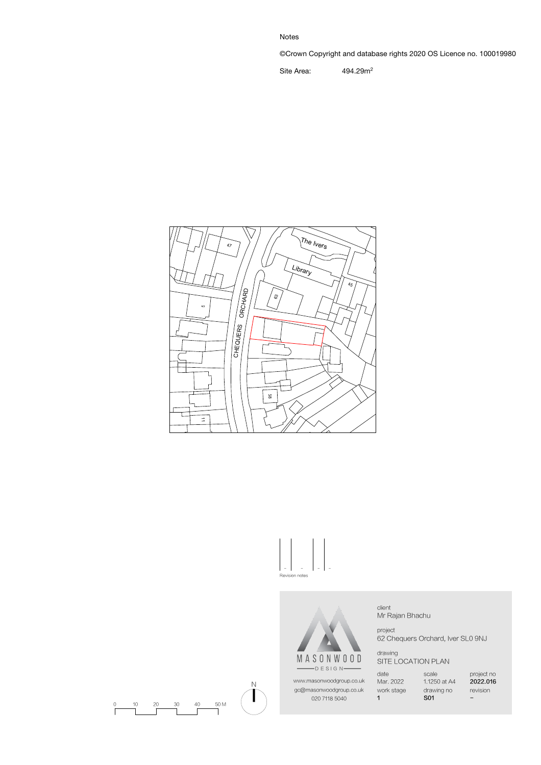Notes

©Crown Copyright and database rights 2020 OS Licence no. 100019980

Site Area: 494.29m<sup>2</sup>







www.masonwoodgroup.co.uk gc@masonwoodgroup.co.uk 020 7118 5040

client Mr Rajan Bhachu

project 62 Chequers Orchard, Iver SL0 9NJ

drawing SITE LOCATION PLAN

date Mar. 2022

work stage 1

scale 1.1250 at A4 drawing no S01

project no 2022.016 revision -



N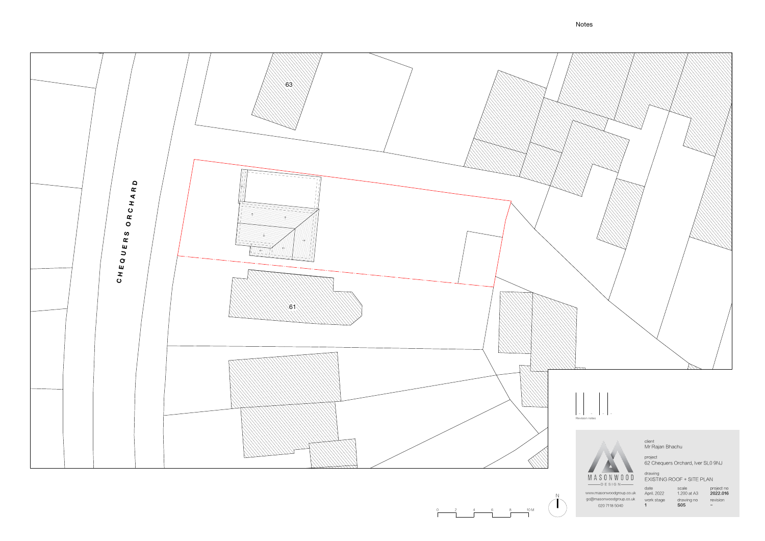N  $\begin{array}{ccc} -2 & 4 & 6 \\ \hline \end{array}$ 

date April. 2022



scale 1.200 at A3

project no 2022.016 www.masonwoodgroup.co.uk gc@masonwoodgroup.co.uk work stage drawing no revision<br> 020 7118 5040 **1 S05** 020 7118 5040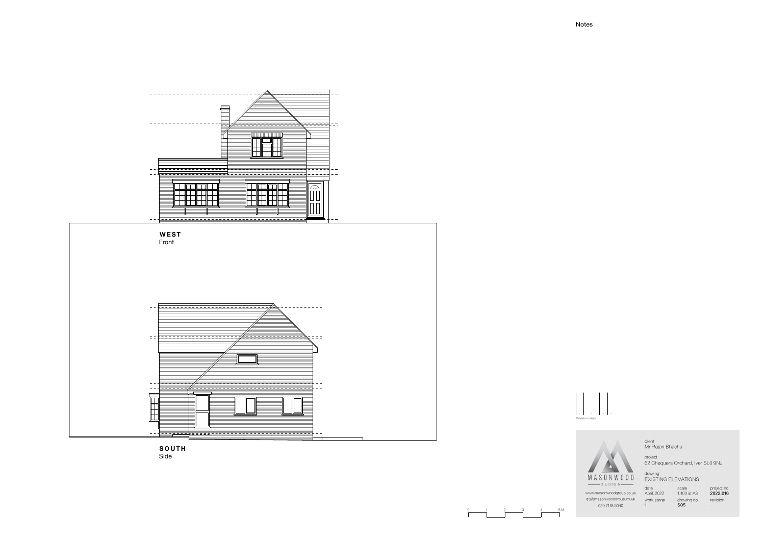- - -Revision notes

3 4 5 M

-

project 62 Chequers Orchard, Iver SL0 9NJ

date  $\overline{1}$ 

April. 2022 1.100 at A3 scale  $S<sub>05</sub>$ 

client Mr Rajan Bhachu

drawing EXISTING ELEVATIONS

gc@masonwoodgroup.co.uk work stage drawing no revision www.masonwoodgroup.co.uk 020 7118 5040

**SOUTH** Side

project no 2022.016 -



## Notes

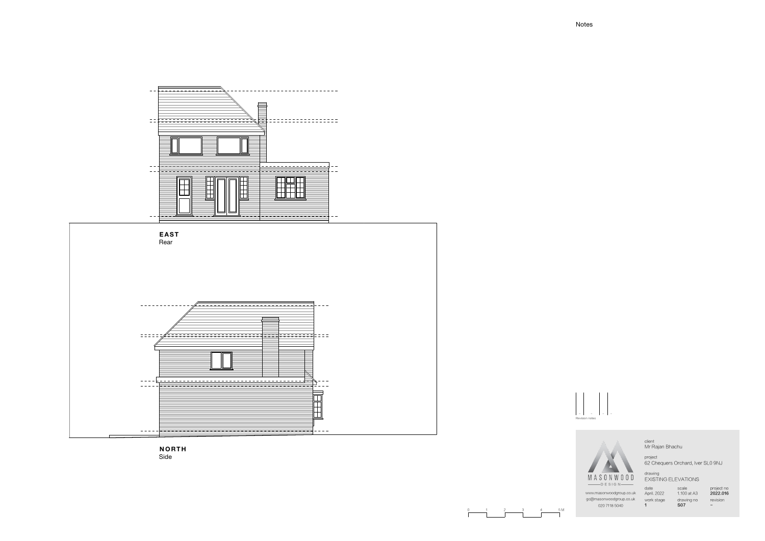



- - -Revision notes

-

project 62 Chequers Orchard, Iver SL0 9NJ

date  $\overline{1}$ 

scale  $S<sub>07</sub>$ 

client Mr Rajan Bhachu

drawing EXISTING ELEVATIONS

www.masonwoodgroup.co.uk April. 2022 1.100 at A3 gc@masonwoodgroup.co.uk work stage drawing no revision 020 7118 5040

project no 2022.016 -



0 1 2 3 4 5 M

## Notes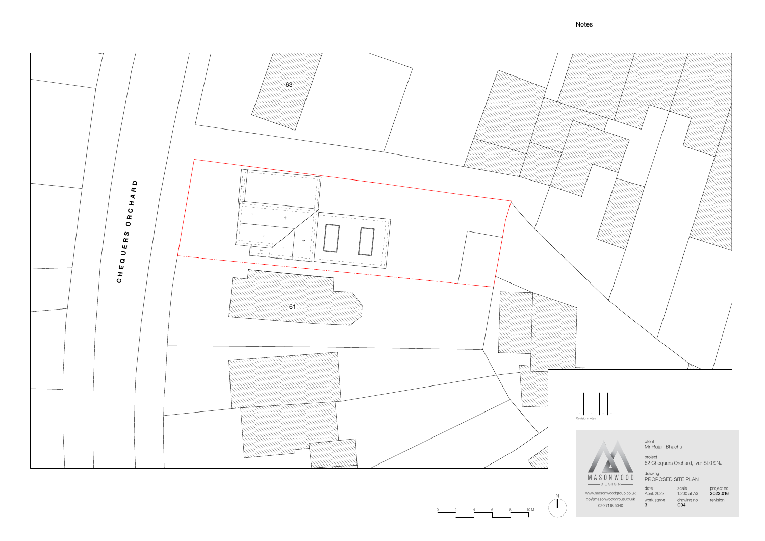N  $\begin{array}{ccc} 2 & 4 & 6 \\ \hline \end{array}$ 

www.masonwoodgroup.co.uk April. 2022 1.200 at A3 **2022.016** gc@masonwoodgroup.co.uk 020 7118 5040



date April. 2022 work stage 3

scale 1.200 at A3 drawing no C04

project no revision -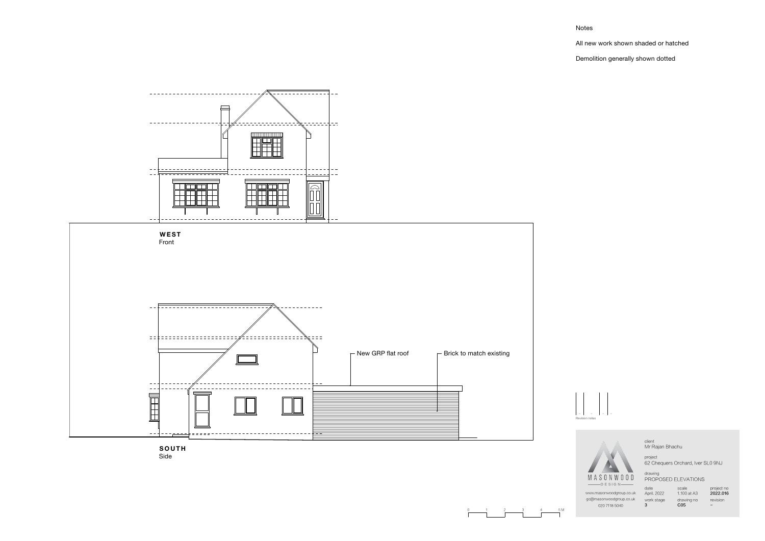## Notes

All new work shown shaded or hatched

Demolition generally shown dotted

- - - Revision notes

-

project 62 Chequers Orchard, Iver SL0 9NJ

client Mr Rajan Bhachu

drawing PROPOSED ELEVATIONS

date April. 2022 work stage 3

scale 1.100 at A3 drawing no C05

project no 2022.016 revision -

www.masonwoodgroup.co.uk gc@masonwoodgroup.co.uk 020 7118 5040





**SO U TH** Side